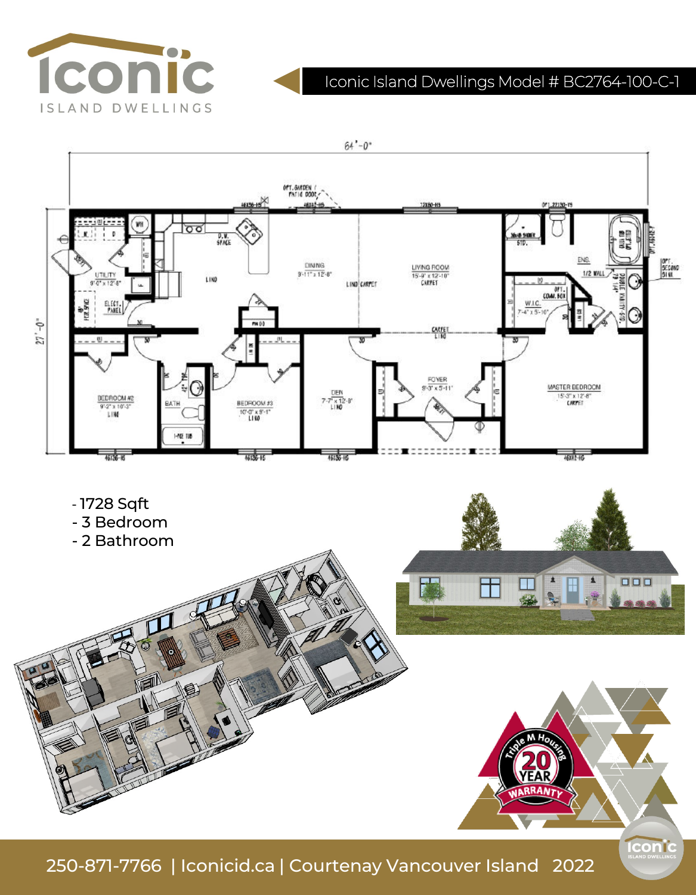

# Iconic Island Dwellings Model # BC2764-100-C-1



250-871-7766 | Iconicid.ca | Courtenay Vancouver Island 2022